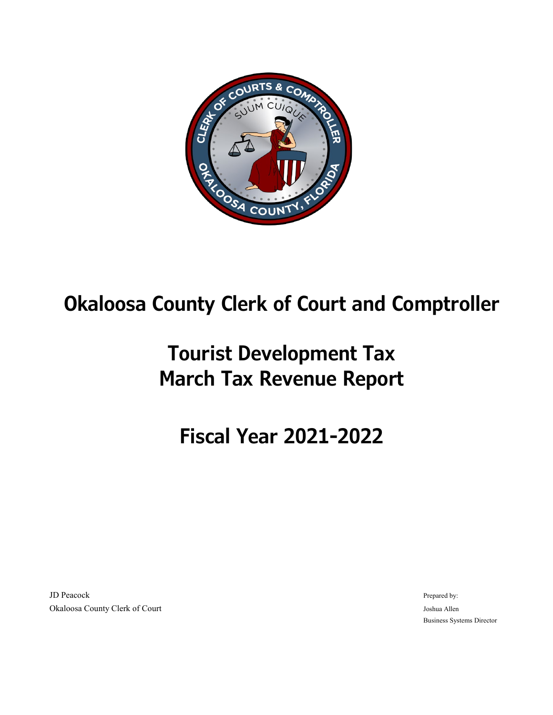

## **Okaloosa County Clerk of Court and Comptroller**

## **Tourist Development Tax March Tax Revenue Report**

## **Fiscal Year 2021-2022**

JD Peacock **Prepared by:** The part of the prepared by:  $\blacksquare$  Prepared by:  $\blacksquare$  Prepared by: Okaloosa County Clerk of Court Joshua Allen

Business Systems Director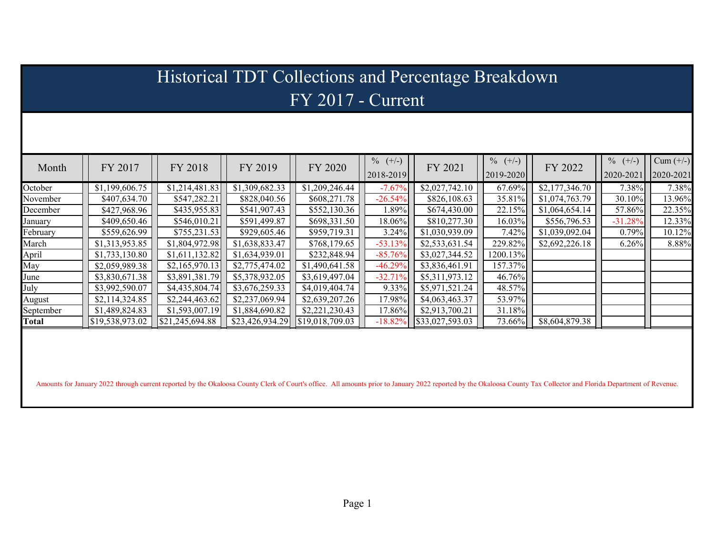| Historical TDT Collections and Percentage Breakdown |                 |                 |                 |                 |                         |                 |                         |                |                         |                          |  |
|-----------------------------------------------------|-----------------|-----------------|-----------------|-----------------|-------------------------|-----------------|-------------------------|----------------|-------------------------|--------------------------|--|
| $FY$ 2017 - Current                                 |                 |                 |                 |                 |                         |                 |                         |                |                         |                          |  |
|                                                     |                 |                 |                 |                 |                         |                 |                         |                |                         |                          |  |
| Month                                               | FY 2017         | FY 2018         | FY 2019         | FY 2020         | $\%$ (+/-)<br>2018-2019 | FY 2021         | $\%$ (+/-)<br>2019-2020 | FY 2022        | $\%$ (+/-)<br>2020-2021 | $Cum (+/-)$<br>2020-2021 |  |
| October                                             | \$1,199,606.75  | \$1,214,481.83  | \$1,309,682.33  | \$1,209,246.44  | $-7.67%$                | \$2,027,742.10  | 67.69%                  | \$2,177,346.70 | 7.38%                   | 7.38%                    |  |
| November                                            | \$407,634.70    | \$547,282.21    | \$828,040.56    | \$608,271.78    | $-26.54%$               | \$826,108.63    | 35.81%                  | \$1,074,763.79 | 30.10%                  | 13.96%                   |  |
| December                                            | \$427,968.96    | \$435,955.83    | \$541,907.43    | \$552,130.36    | 1.89%                   | \$674,430.00    | 22.15%                  | \$1,064,654.14 | 57.86%                  | 22.35%                   |  |
| January                                             | \$409,650.46    | \$546,010.21    | \$591,499.87    | \$698,331.50    | 18.06%                  | \$810,277.30    | 16.03%                  | \$556,796.53   | $-31.28%$               | 12.33%                   |  |
| February                                            | \$559,626.99    | \$755,231.53    | \$929,605.46    | \$959,719.31    | 3.24%                   | \$1,030,939.09  | 7.42%                   | \$1,039,092.04 | 0.79%                   | 10.12%                   |  |
| March                                               | \$1,313,953.85  | \$1,804,972.98  | \$1,638,833.47  | \$768,179.65    | $-53.13%$               | \$2,533,631.54  | 229.82%                 | \$2,692,226.18 | 6.26%                   | 8.88%                    |  |
| April                                               | \$1,733,130.80  | \$1,611,132.82  | \$1,634,939.01  | \$232,848.94    | $-85.76%$               | \$3,027,344.52  | 1200.13%                |                |                         |                          |  |
| May                                                 | \$2,059,989.38  | \$2,165,970.13  | \$2,775,474.02  | \$1,490,641.58  | $-46.29%$               | \$3,836,461.91  | 157.37%                 |                |                         |                          |  |
| June                                                | \$3,830,671.38  | \$3,891,381.79  | \$5,378,932.05  | \$3,619,497.04  | $-32.71%$               | \$5,311,973.12  | 46.76%                  |                |                         |                          |  |
| July                                                | \$3,992,590.07  | \$4,435,804.74  | \$3,676,259.33  | \$4,019,404.74  | 9.33%                   | \$5,971,521.24  | 48.57%                  |                |                         |                          |  |
| August                                              | \$2,114,324.85  | \$2,244,463.62  | \$2,237,069.94  | \$2,639,207.26  | 17.98%                  | \$4,063,463.37  | 53.97%                  |                |                         |                          |  |
| September                                           | \$1,489,824.83  | \$1,593,007.19  | \$1,884,690.82  | \$2,221,230.43  | 17.86%                  | \$2,913,700.21  | 31.18%                  |                |                         |                          |  |
| Total                                               | \$19,538,973.02 | \$21,245,694.88 | \$23,426,934.29 | \$19,018,709.03 | $-18.82%$               | \$33,027,593.03 | 73.66%                  | \$8,604,879.38 |                         |                          |  |
|                                                     |                 |                 |                 |                 |                         |                 |                         |                |                         |                          |  |

Amounts for January 2022 through current reported by the Okaloosa County Clerk of Court's office. All amounts prior to January 2022 reported by the Okaloosa County Tax Collector and Florida Department of Revenue.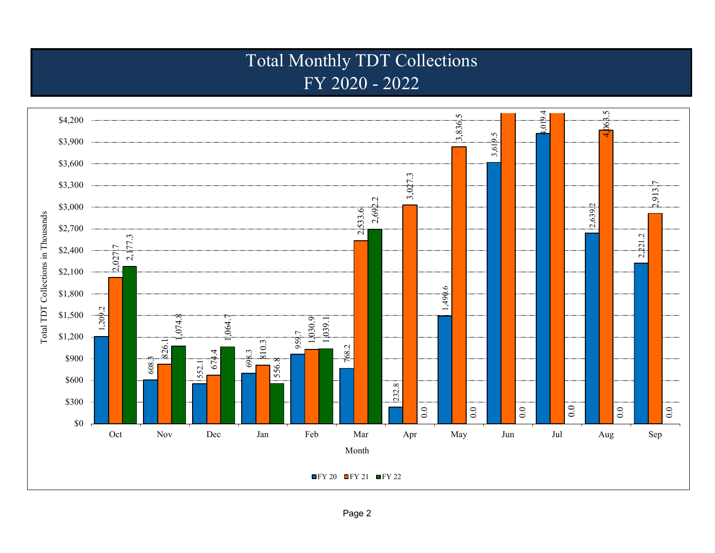## Total Monthly TDT Collections FY 2020 - 2022